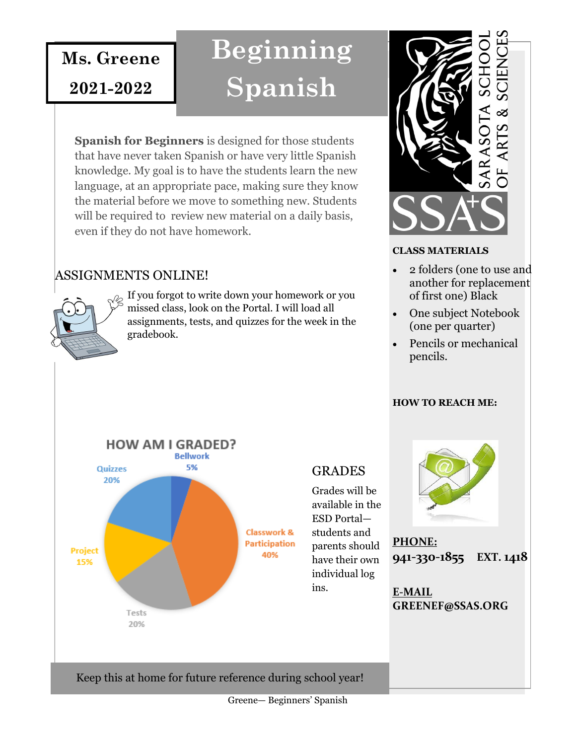**Ms. Greene**

**2021-2022**

**Beginning Spanish**

**Spanish for Beginners** is designed for those students that have never taken Spanish or have very little Spanish knowledge. My goal is to have the students learn the new language, at an appropriate pace, making sure they know the material before we move to something new. Students will be required to review new material on a daily basis, even if they do not have homework.

### ASSIGNMENTS ONLINE!



If you forgot to write down your homework or you missed class, look on the Portal. I will load all assignments, tests, and quizzes for the week in the gradebook.



#### **CLASS MATERIALS**

- 2 folders (one to use and another for replacement of first one) Black
- One subject Notebook (one per quarter)
- Pencils or mechanical pencils.

#### **HOW TO REACH ME:**

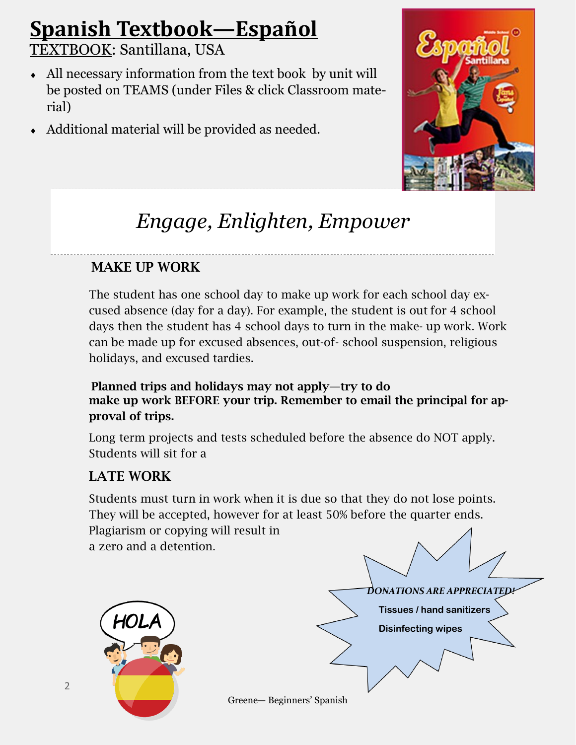# **Spanish Textbook—Español**

TEXTBOOK: Santillana, USA

- All necessary information from the text book by unit will be posted on TEAMS (under Files & click Classroom material)
- Additional material will be provided as needed.



# *Engage, Enlighten, Empower*

# MAKE UP WORK

The student has one school day to make up work for each school day excused absence (day for a day). For example, the student is out for 4 school days then the student has 4 school days to turn in the make- up work. Work can be made up for excused absences, out-of- school suspension, religious holidays, and excused tardies.

Planned trips and holidays may not apply—try to do make up work BEFORE your trip. Remember to email the principal for approval of trips.

Long term projects and tests scheduled before the absence do NOT apply. Students will sit for a

# LATE WORK

Students must turn in work when it is due so that they do not lose points. They will be accepted, however for at least 50% before the quarter ends. Plagiarism or copying will result in a zero and a detention.

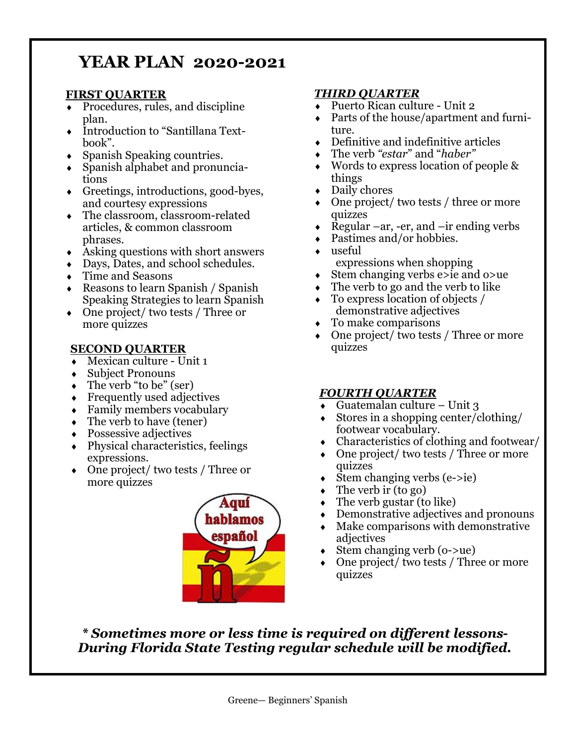# **YEAR PLAN 2020-2021**

#### **FIRST QUARTER**

- Procedures, rules, and discipline plan.
- Introduction to "Santillana Textbook".
- Spanish Speaking countries.
- Spanish alphabet and pronunciations
- Greetings, introductions, good-byes, and courtesy expressions
- The classroom, classroom-related articles, & common classroom phrases.
- Asking questions with short answers
- Days, Dates, and school schedules.
- Time and Seasons
- Reasons to learn Spanish / Spanish Speaking Strategies to learn Spanish
- One project/ two tests / Three or more quizzes

#### **SECOND QUARTER**

- Mexican culture Unit 1
- Subject Pronouns
- $\bullet$  The verb "to be" (ser)
- Frequently used adjectives
- Family members vocabulary
- $\triangleleft$  The verb to have (tener)
- Possessive adjectives
- $\leftrightarrow$  Physical characteristics, feelings expressions.
- One project/ two tests / Three or more quizzes



#### *THIRD QUARTER*

- Puerto Rican culture Unit 2
- Parts of the house/apartment and furniture.
- Definitive and indefinitive articles
- The verb *"estar*" and "*haber"*
- Words to express location of people & things
- Daily chores
- ◆ One project/ two tests / three or more quizzes
- Regular –ar, -er, and –ir ending verbs
- Pastimes and/or hobbies.
- useful expressions when shopping
- Stem changing verbs e>ie and o>ue
- $\bullet$  The verb to go and the verb to like
- To express location of objects / demonstrative adjectives
- To make comparisons
- One project/ two tests / Three or more quizzes

#### *FOURTH QUARTER*

- Guatemalan culture Unit 3
- Stores in a shopping center/clothing/ footwear vocabulary.
- Characteristics of clothing and footwear/
- One project/ two tests / Three or more quizzes
- Stem changing verbs (e->ie)
- The verb ir (to go)
- $\triangleleft$  The verb gustar (to like)
- Demonstrative adjectives and pronouns
- Make comparisons with demonstrative adjectives
- Stem changing verb (o->ue)
- One project/ two tests / Three or more quizzes

*\* Sometimes more or less time is required on different lessons-During Florida State Testing regular schedule will be modified.*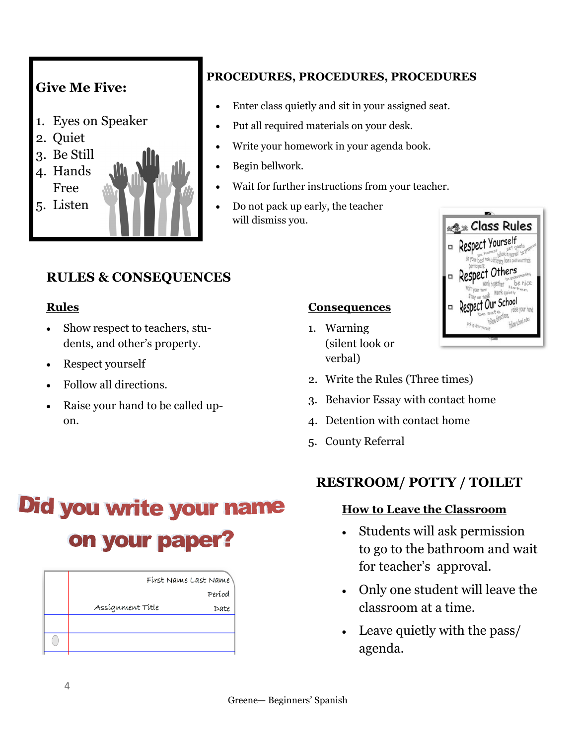

### **PROCEDURES, PROCEDURES, PROCEDURES**

- Enter class quietly and sit in your assigned seat.
- Put all required materials on your desk.
- Write your homework in your agenda book.
- Begin bellwork.
- Wait for further instructions from your teacher.
- Do not pack up early, the teacher will dismiss you.



# **RULES & CONSEQUENCES**

#### **Rules**

- Show respect to teachers, students, and other's property.
- Respect vourself
- Follow all directions.
- Raise your hand to be called upon.

#### **Consequences**

- 1. Warning (silent look or verbal)
- 2. Write the Rules (Three times)
- 3. Behavior Essay with contact home
- 4. Detention with contact home
- 5. County Referral

# **Did you write your name** on your paper?

| First Name Last Name |        |
|----------------------|--------|
|                      | Períod |
| Assígnment Title     | Date   |
|                      |        |
|                      |        |

## **RESTROOM/ POTTY / TOILET**

#### **How to Leave the Classroom**

- Students will ask permission to go to the bathroom and wait for teacher's approval.
- Only one student will leave the classroom at a time.
- Leave quietly with the pass/ agenda.